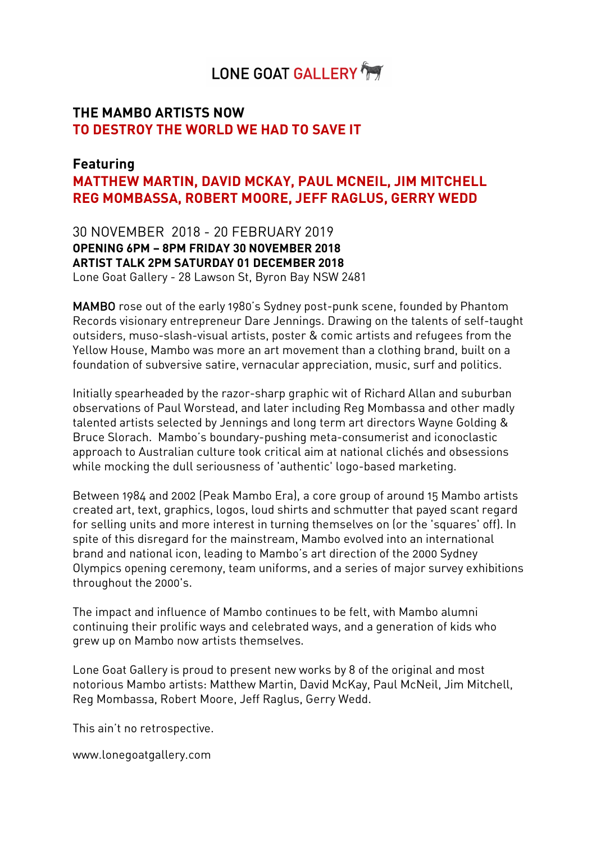# LONE GOAT GALLERY

# **THE MAMBO ARTISTS NOW TO DESTROY THE WORLD WE HAD TO SAVE IT**

# **Featuring MATTHEW MARTIN, DAVID MCKAY, PAUL MCNEIL, JIM MITCHELL REG MOMBASSA, ROBERT MOORE, JEFF RAGLUS, GERRY WEDD**

30 NOVEMBER 2018 - 20 FEBRUARY 2019 **OPENING 6PM – 8PM FRIDAY 30 NOVEMBER 2018 ARTIST TALK 2PM SATURDAY 01 DECEMBER 2018** Lone Goat Gallery - 28 Lawson St, Byron Bay NSW 2481

MAMBO rose out of the early 1980's Sydney post-punk scene, founded by Phantom Records visionary entrepreneur Dare Jennings. Drawing on the talents of self-taught outsiders, muso-slash-visual artists, poster & comic artists and refugees from the Yellow House, Mambo was more an art movement than a clothing brand, built on a foundation of subversive satire, vernacular appreciation, music, surf and politics.

Initially spearheaded by the razor-sharp graphic wit of Richard Allan and suburban observations of Paul Worstead, and later including Reg Mombassa and other madly talented artists selected by Jennings and long term art directors Wayne Golding & Bruce Slorach. Mambo's boundary-pushing meta-consumerist and iconoclastic approach to Australian culture took critical aim at national clichés and obsessions while mocking the dull seriousness of 'authentic' logo-based marketing.

Between 1984 and 2002 (Peak Mambo Era), a core group of around 15 Mambo artists created art, text, graphics, logos, loud shirts and schmutter that payed scant regard for selling units and more interest in turning themselves on (or the 'squares' off). In spite of this disregard for the mainstream, Mambo evolved into an international brand and national icon, leading to Mambo's art direction of the 2000 Sydney Olympics opening ceremony, team uniforms, and a series of major survey exhibitions throughout the 2000's.

The impact and influence of Mambo continues to be felt, with Mambo alumni continuing their prolific ways and celebrated ways, and a generation of kids who grew up on Mambo now artists themselves.

Lone Goat Gallery is proud to present new works by 8 of the original and most notorious Mambo artists: Matthew Martin, David McKay, Paul McNeil, Jim Mitchell, Reg Mombassa, Robert Moore, Jeff Raglus, Gerry Wedd.

This ain't no retrospective.

www.lonegoatgallery.com